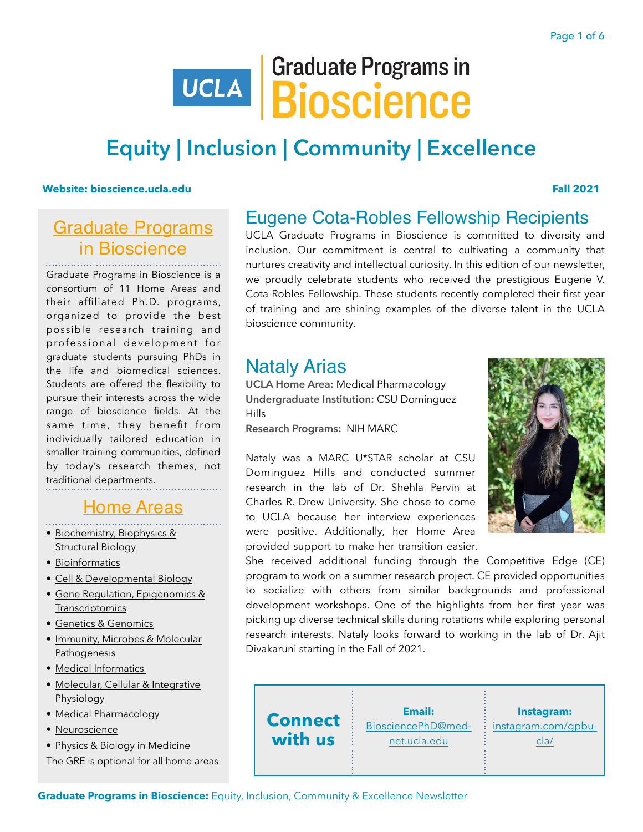# **UCLA BIOSCIENCE**

# **Equity | Inclusion | Community | Excellence**

#### **[Website: bioscience.ucla.edu](https://bioscience.ucla.edu) Fall 2021**

## [Graduate Programs](https://bioscience.ucla.edu/ucla-gpb-home) [in Bioscience](https://bioscience.ucla.edu/ucla-gpb-home)

Graduate Programs in Bioscience is a consortium of 11 Home Areas and their affiliated Ph.D. programs, organized to provide the best possible research training and professional development for graduate students pursuing PhDs in the life and biomedical sciences. Students are offered the flexibility to pursue their interests across the wide range of bioscience fields. At the same time, they benefit from individually tailored education in smaller training communities, defined by today's research themes, not traditional departments.

## [Home Areas](https://bioscience.ucla.edu/home-areas)

- [Biochemistry, Biophysics &](https://www.mbi.ucla.edu/bbsb)  [Structural Biology](https://www.mbi.ucla.edu/bbsb)
- [Bioinformatics](https://bioinformatics.ucla.edu/)
- [Cell & Developmental Biology](http://www.mbi.ucla.edu/cdb/)
- [Gene Regulation, Epigenomics &](https://www.mbi.ucla.edu/genereg)  **[Transcriptomics](https://www.mbi.ucla.edu/genereg)**
- [Genetics & Genomics](https://medschool.ucla.edu/human-genetics/genetics-and-genomics)
- [Immunity, Microbes & Molecular](https://www.mbi.ucla.edu/immp)  **[Pathogenesis](https://www.mbi.ucla.edu/immp)**
- [Medical Informatics](https://biomedicalinformatics.ucla.edu/)
- [Molecular, Cellular & Integrative](https://www.mcip.ucla.edu/)  [Physiology](https://www.mcip.ucla.edu/)
- [Medical Pharmacology](https://www.pharmacology.ucla.edu/graduate-program/)
- [Neuroscience](http://neuroscience.ucla.edu/)
- [Physics & Biology in Medicine](http://pbm.ucla.edu/)
- The GRE is optional for all home areas

# Eugene Cota-Robles Fellowship Recipients

UCLA Graduate Programs in Bioscience is committed to diversity and inclusion. Our commitment is central to cultivating a community that nurtures creativity and intellectual curiosity. In this edition of our newsletter, we proudly celebrate students who received the prestigious Eugene V. Cota-Robles Fellowship. These students recently completed their first year of training and are shining examples of the diverse talent in the UCLA bioscience community.

## Nataly Arias

**UCLA Home Area:** Medical Pharmacology **Undergraduate Institution:** CSU Dominguez Hills

**Research Programs:** NIH MARC

Nataly was a MARC U\*STAR scholar at CSU Dominguez Hills and conducted summer research in the lab of Dr. Shehla Pervin at Charles R. Drew University. She chose to come to UCLA because her interview experiences were positive. Additionally, her Home Area provided support to make her transition easier.



She received additional funding through the Competitive Edge (CE) program to work on a summer research project. CE provided opportunities to socialize with others from similar backgrounds and professional development workshops. One of the highlights from her first year was picking up diverse technical skills during rotations while exploring personal research interests. Nataly looks forward to working in the lab of Dr. Ajit Divakaruni starting in the Fall of 2021.



**Graduate Programs in Bioscience:** Equity, Inclusion, Community & Excellence Newsletter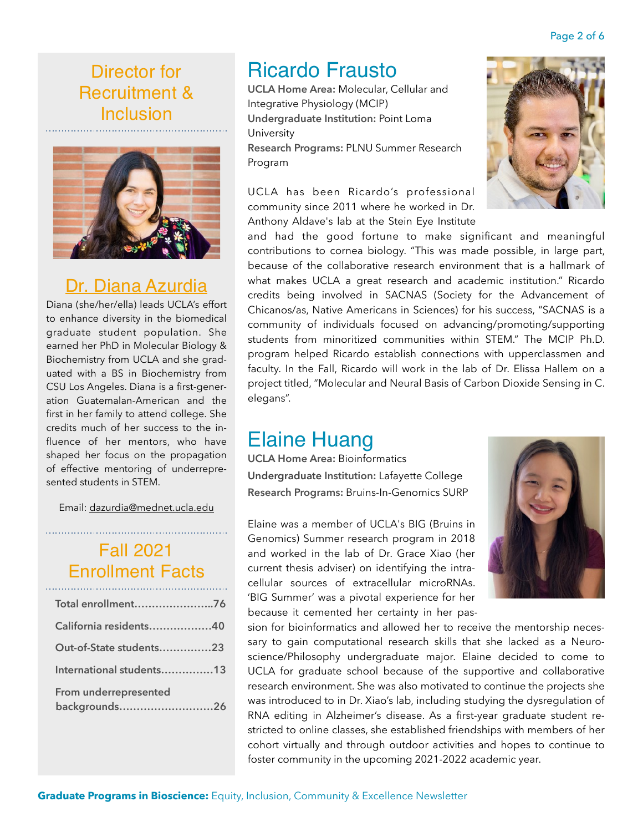# Ricardo Frausto

**UCLA Home Area:** Molecular, Cellular and Integrative Physiology (MCIP) **Undergraduate Institution:** Point Loma University **Research Programs:** PLNU Summer Research Program

UCLA has been Ricardo's professional community since 2011 where he worked in Dr. Anthony Aldave's lab at the Stein Eye Institute

and had the good fortune to make significant and meaningful contributions to cornea biology. "This was made possible, in large part, because of the collaborative research environment that is a hallmark of what makes UCLA a great research and academic institution." Ricardo credits being involved in SACNAS (Society for the Advancement of Chicanos/as, Native Americans in Sciences) for his success, "SACNAS is a community of individuals focused on advancing/promoting/supporting students from minoritized communities within STEM." The MCIP Ph.D. program helped Ricardo establish connections with upperclassmen and faculty. In the Fall, Ricardo will work in the lab of Dr. Elissa Hallem on a project titled, "Molecular and Neural Basis of Carbon Dioxide Sensing in C. elegans".

# Elaine Huang

**UCLA Home Area:** Bioinformatics **Undergraduate Institution:** Lafayette College **Research Programs:** Bruins-In-Genomics SURP

Elaine was a member of UCLA's BIG (Bruins in Genomics) Summer research program in 2018 and worked in the lab of Dr. Grace Xiao (her current thesis adviser) on identifying the intracellular sources of extracellular microRNAs. 'BIG Summer' was a pivotal experience for her because it cemented her certainty in her pas-

sion for bioinformatics and allowed her to receive the mentorship necessary to gain computational research skills that she lacked as a Neuroscience/Philosophy undergraduate major. Elaine decided to come to UCLA for graduate school because of the supportive and collaborative research environment. She was also motivated to continue the projects she was introduced to in Dr. Xiao's lab, including studying the dysregulation of RNA editing in Alzheimer's disease. As a first-year graduate student restricted to online classes, she established friendships with members of her cohort virtually and through outdoor activities and hopes to continue to foster community in the upcoming 2021-2022 academic year.

## Page 2 of 6

Director for Recruitment & Inclusion



# [Dr. Diana Azurdia](https://www.linkedin.com/in/dazurdia/)

Diana (she/her/ella) leads UCLA's effort to enhance diversity in the biomedical graduate student population. She earned her PhD in Molecular Biology & Biochemistry from UCLA and she graduated with a BS in Biochemistry from CSU Los Angeles. Diana is a first-generation Guatemalan-American and the first in her family to attend college. She credits much of her success to the influence of her mentors, who have shaped her focus on the propagation of effective mentoring of underrepresented students in STEM.

Email: [dazurdia@mednet.ucla.edu](mailto:dazurdia@mednet.ucla.edu) 

# Fall 2021 Enrollment Facts

| Total enrollment76                     |
|----------------------------------------|
| California residents40                 |
| Out-of-State students23                |
| International students13               |
| From underrepresented<br>backgrounds26 |

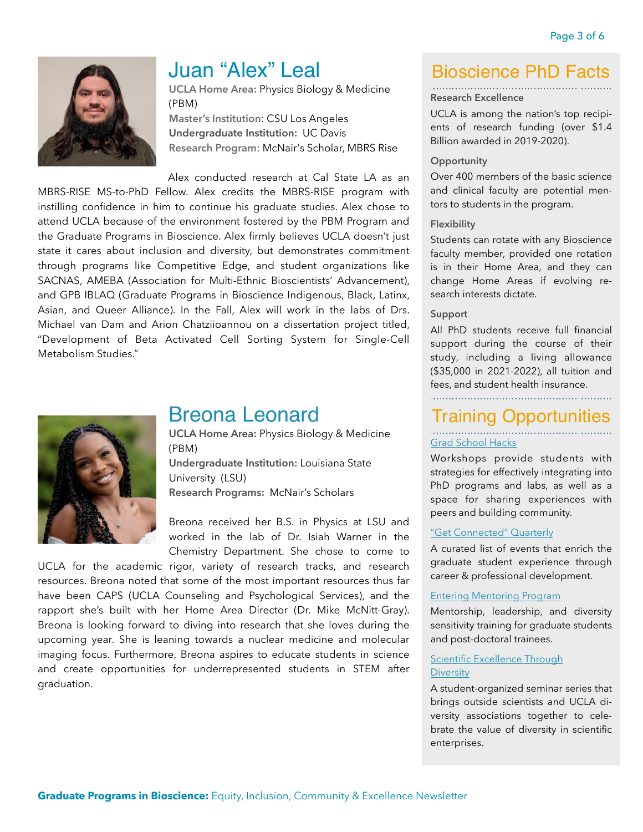

# Juan "Alex" Leal

**UCLA Home Area:** Physics Biology & Medicine (PBM) **Master's Institution**: CSU Los Angeles

**Undergraduate Institution:** UC Davis **Research Program**: McNair's Scholar, MBRS Rise

Alex conducted research at Cal State LA as an MBRS-RISE MS-to-PhD Fellow. Alex credits the MBRS-RISE program with instilling confidence in him to continue his graduate studies. Alex chose to attend UCLA because of the environment fostered by the PBM Program and the Graduate Programs in Bioscience. Alex firmly believes UCLA doesn't just state it cares about inclusion and diversity, but demonstrates commitment through programs like Competitive Edge, and student organizations like SACNAS, AMEBA (Association for Multi-Ethnic Bioscientists' Advancement), and GPB IBLAQ (Graduate Programs in Bioscience Indigenous, Black, Latinx, Asian, and Queer Alliance). In the Fall, Alex will work in the labs of Drs. Michael van Dam and Arion Chatziioannou on a dissertation project titled, "Development of Beta Activated Cell Sorting System for Single-Cell Metabolism Studies."



## Breona Leonard

**UCLA Home Area:** Physics Biology & Medicine (PBM) **Undergraduate Institution:** Louisiana State

University (LSU) **Research Programs:** McNair's Scholars

Breona received her B.S. in Physics at LSU and worked in the lab of Dr. Isiah Warner in the Chemistry Department. She chose to come to

UCLA for the academic rigor, variety of research tracks, and research resources. Breona noted that some of the most important resources thus far have been CAPS (UCLA Counseling and Psychological Services), and the rapport she's built with her Home Area Director (Dr. Mike McNitt-Gray). Breona is looking forward to diving into research that she loves during the upcoming year. She is leaning towards a nuclear medicine and molecular imaging focus. Furthermore, Breona aspires to educate students in science and create opportunities for underrepresented students in STEM after graduation.

## Bioscience PhD Facts

#### **Research Excellence**

UCLA is among the nation's top recipients of research funding (over \$1.4 Billion awarded in 2019-2020).

#### **Opportunity**

Over 400 members of the basic science and clinical faculty are potential mentors to students in the program.

#### **Flexibility**

Students can rotate with any Bioscience faculty member, provided one rotation is in their Home Area, and they can change Home Areas if evolving research interests dictate.

#### **Support**

All PhD students receive full financial support during the course of their study, including a living allowance (\$35,000 in 2021-2022), all tuition and fees, and student health insurance. 

# Training Opportunities

### [Grad School Hacks](https://bioscience.ucla.edu/grad-school-hacks)

Workshops provide students with strategies for effectively integrating into PhD programs and labs, as well as a space for sharing experiences with peers and building community.

#### ["Get Connected" Quarterly](https://bioscience.ucla.edu/get-connected)

A curated list of events that enrich the graduate student experience through career & professional development.

#### [Entering Mentoring Program](https://bioscience.ucla.edu/ucla-entering-mentoring-training-program/)

Mentorship, leadership, and diversity sensitivity training for graduate students and post-doctoral trainees.

#### [Scientific Excellence Through](http://www.sacnasatucla.com/seds-series.html)  **[Diversity](http://www.sacnasatucla.com/seds-series.html)**

A student-organized seminar series that brings outside scientists and UCLA diversity associations together to celebrate the value of diversity in scientific enterprises.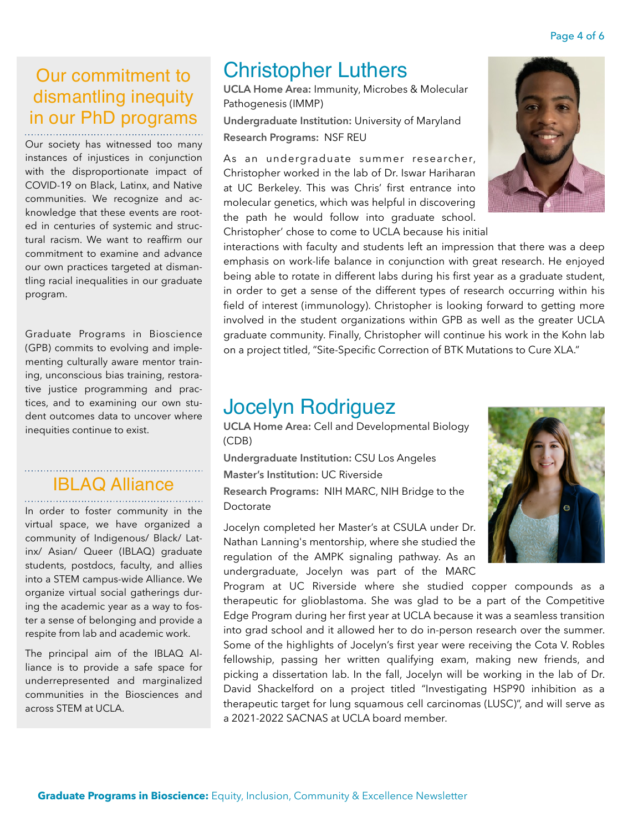# Our commitment to dismantling inequity in our PhD programs

Our society has witnessed too many instances of injustices in conjunction with the disproportionate impact of COVID-19 on Black, Latinx, and Native communities. We recognize and acknowledge that these events are rooted in centuries of systemic and structural racism. We want to reaffirm our commitment to examine and advance our own practices targeted at dismantling racial inequalities in our graduate program.

Graduate Programs in Bioscience (GPB) commits to evolving and implementing culturally aware mentor training, unconscious bias training, restorative justice programming and practices, and to examining our own student outcomes data to uncover where inequities continue to exist.

# **IBLAQ Alliance**

In order to foster community in the virtual space, we have organized a community of Indigenous/ Black/ Latinx/ Asian/ Queer (IBLAQ) graduate students, postdocs, faculty, and allies into a STEM campus-wide Alliance. We organize virtual social gatherings during the academic year as a way to foster a sense of belonging and provide a respite from lab and academic work.

The principal aim of the IBLAQ Alliance is to provide a safe space for underrepresented and marginalized communities in the Biosciences and across STEM at UCLA.

# Christopher Luthers

**UCLA Home Area:** Immunity, Microbes & Molecular Pathogenesis (IMMP)

**Undergraduate Institution:** University of Maryland **Research Programs:** NSF REU

As an undergraduate summer researcher, Christopher worked in the lab of Dr. Iswar Hariharan at UC Berkeley. This was Chris' first entrance into molecular genetics, which was helpful in discovering the path he would follow into graduate school. Christopher' chose to come to UCLA because his initial



interactions with faculty and students left an impression that there was a deep emphasis on work-life balance in conjunction with great research. He enjoyed being able to rotate in different labs during his first year as a graduate student, in order to get a sense of the different types of research occurring within his field of interest (immunology). Christopher is looking forward to getting more involved in the student organizations within GPB as well as the greater UCLA graduate community. Finally, Christopher will continue his work in the Kohn lab on a project titled, "Site-Specific Correction of BTK Mutations to Cure XLA."

# Jocelyn Rodriguez

**UCLA Home Area:** Cell and Developmental Biology (CDB)

**Undergraduate Institution:** CSU Los Angeles **Master's Institution:** UC Riverside **Research Programs:** NIH MARC, NIH Bridge to the Doctorate

Jocelyn completed her Master's at CSULA under Dr. Nathan Lanning's mentorship, where she studied the regulation of the AMPK signaling pathway. As an undergraduate, Jocelyn was part of the MARC

Program at UC Riverside where she studied copper compounds as a therapeutic for glioblastoma. She was glad to be a part of the Competitive Edge Program during her first year at UCLA because it was a seamless transition into grad school and it allowed her to do in-person research over the summer. Some of the highlights of Jocelyn's first year were receiving the Cota V. Robles fellowship, passing her written qualifying exam, making new friends, and picking a dissertation lab. In the fall, Jocelyn will be working in the lab of Dr. David Shackelford on a project titled "Investigating HSP90 inhibition as a therapeutic target for lung squamous cell carcinomas (LUSC)", and will serve as a 2021-2022 SACNAS at UCLA board member.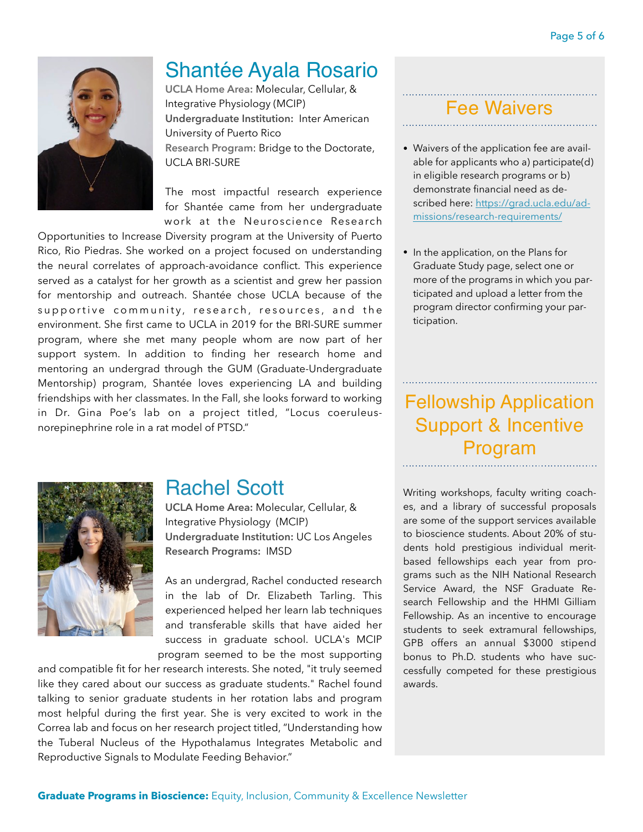

# Shantée Ayala Rosario

**UCLA Home Area:** Molecular, Cellular, & Integrative Physiology (MCIP) **Undergraduate Institution:** Inter American University of Puerto Rico **Research Program**: Bridge to the Doctorate, UCLA BRI-SURE

The most impactful research experience for Shantée came from her undergraduate work at the Neuroscience Research

Opportunities to Increase Diversity program at the University of Puerto Rico, Rio Piedras. She worked on a project focused on understanding the neural correlates of approach-avoidance conflict. This experience served as a catalyst for her growth as a scientist and grew her passion for mentorship and outreach. Shantée chose UCLA because of the supportive community, research, resources, and the environment. She first came to UCLA in 2019 for the BRI-SURE summer program, where she met many people whom are now part of her support system. In addition to finding her research home and mentoring an undergrad through the GUM (Graduate-Undergraduate Mentorship) program, Shantée loves experiencing LA and building friendships with her classmates. In the Fall, she looks forward to working in Dr. Gina Poe's lab on a project titled, "Locus coeruleusnorepinephrine role in a rat model of PTSD."

## Fee Waivers

- Waivers of the application fee are available for applicants who a) participate(d) in eligible research programs or b) demonstrate financial need as de[scribed here: https://grad.ucla.edu/ad](https://grad.ucla.edu/admissions/research-requirements/)[missions/research-requirements/](https://grad.ucla.edu/admissions/research-requirements/)
- In the application, on the Plans for Graduate Study page, select one or more of the programs in which you participated and upload a letter from the program director confirming your participation.

# Fellowship Application Support & Incentive Program



## Rachel Scott

**UCLA Home Area:** Molecular, Cellular, & Integrative Physiology (MCIP) **Undergraduate Institution:** UC Los Angeles **Research Programs:** IMSD

As an undergrad, Rachel conducted research in the lab of Dr. Elizabeth Tarling. This experienced helped her learn lab techniques and transferable skills that have aided her success in graduate school. UCLA's MCIP program seemed to be the most supporting

and compatible fit for her research interests. She noted, "it truly seemed like they cared about our success as graduate students." Rachel found talking to senior graduate students in her rotation labs and program most helpful during the first year. She is very excited to work in the Correa lab and focus on her research project titled, "Understanding how the Tuberal Nucleus of the Hypothalamus Integrates Metabolic and Reproductive Signals to Modulate Feeding Behavior."

Writing workshops, faculty writing coaches, and a library of successful proposals are some of the support services available to bioscience students. About 20% of students hold prestigious individual meritbased fellowships each year from programs such as the NIH National Research Service Award, the NSF Graduate Research Fellowship and the HHMI Gilliam Fellowship. As an incentive to encourage students to seek extramural fellowships, GPB offers an annual \$3000 stipend bonus to Ph.D. students who have successfully competed for these prestigious awards.